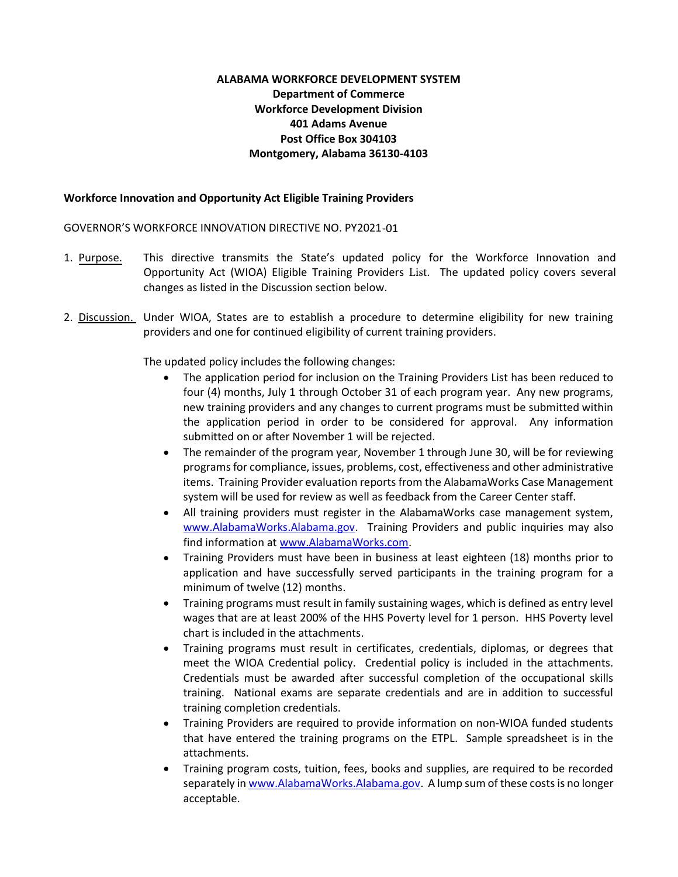### ALABAMA WORKFORCE DEVELOPMENT SYSTEM Department of Commerce Workforce Development Division 401 Adams Avenue Post Office Box 304103 Montgomery, Alabama 36130-4103

### Workforce Innovation and Opportunity Act Eligible Training Providers

GOVERNOR'S WORKFORCE INNOVATION DIRECTIVE NO. PY2021

- 1. Purpose. This directive transmits the State's updated policy for the Workforce Innovation and Opportunity Act (WIOA) Eligible Training Providers List. The updated policy covers several changes as listed in the Discussion section below.
- 2. Discussion. Under WIOA, States are to establish a procedure to determine eligibility for new training providers and one for continued eligibility of current training providers.

The updated policy includes the following changes:

- The application period for inclusion on the Training Providers List has been reduced to four (4) months, July 1 through October 31 of each program year. Any new programs, new training providers and any changes to current programs must be submitted within the application period in order to be considered for approval. Any information submitted on or after November 1 will be rejected.
- The remainder of the program year, November 1 through June 30, will be for reviewing programs for compliance, issues, problems, cost, effectiveness and other administrative items. Training Provider evaluation reports from the AlabamaWorks Case Management system will be used for review as well as feedback from the Career Center staff.
- All training providers must register in the AlabamaWorks case management system, www.AlabamaWorks.Alabama.gov. Training Providers and public inquiries may also find information at www.AlabamaWorks.com.
- Training Providers must have been in business at least eighteen (18) months prior to application and have successfully served participants in the training program for a minimum of twelve (12) months.
- Training programs must result in family sustaining wages, which is defined as entry level wages that are at least 200% of the HHS Poverty level for 1 person. HHS Poverty level chart is included in the attachments.
- Training programs must result in certificates, credentials, diplomas, or degrees that meet the WIOA Credential policy. Credential policy is included in the attachments. Credentials must be awarded after successful completion of the occupational skills training. National exams are separate credentials and are in addition to successful training completion credentials.
- Training Providers are required to provide information on non-WIOA funded students that have entered the training programs on the ETPL. Sample spreadsheet is in the attachments.
- Training program costs, tuition, fees, books and supplies, are required to be recorded separately in www.AlabamaWorks.Alabama.gov. A lump sum of these costs is no longer acceptable.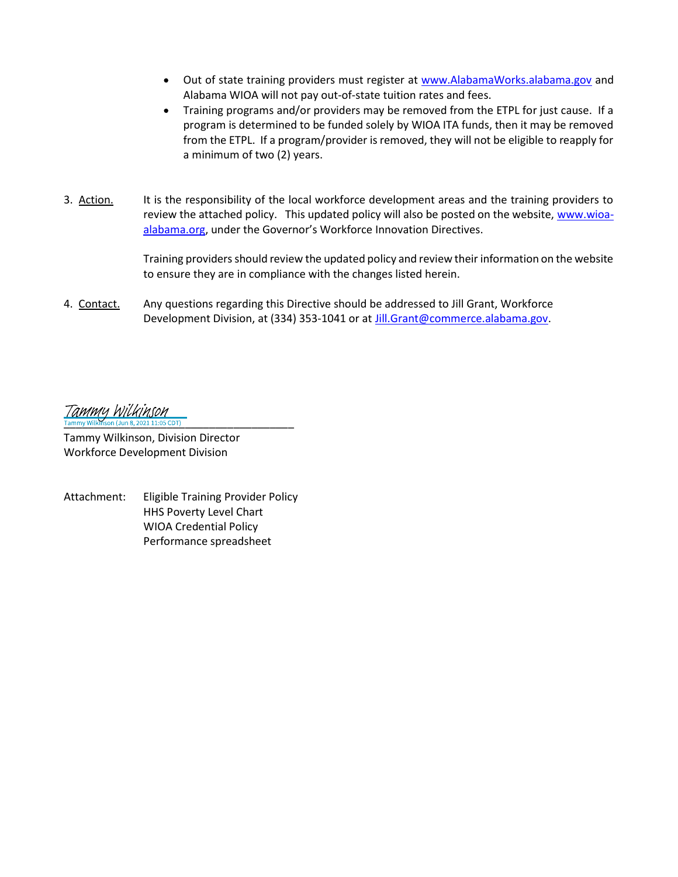- Out of state training providers must register at www.AlabamaWorks.alabama.gov and  $\bullet$ Alabama WIOA will not pay out-of-state tuition rates and fees.
- Training programs and/or providers may be removed from the ETPL for just cause. If a program is determined to be funded solely by WIOA ITA funds, then it may be removed from the ETPL. If a program/provider is removed, they will not be eligible to reapply for a minimum of two (2) years.
- 3. Action. It is the responsibility of the local workforce development areas and the training providers to review the attached policy. This updated policy will also be posted on the website, www.wioaalabama.org, under the Governor's Workforce Innovation Directives.

Training providers should review the updated policy and review their information on the website to ensure they are in compliance with the changes listed herein.

4. Contact. Any questions regarding this Directive should be addressed to Jill Grant, Workforce Development Division, at (334) 353-1041 or at *Jill.Grant@commerce.alabama.gov.* 

Tammu Wilkinson mmy Wilkinson (Jun 8, 2021 11:05 CDT)

Tammy Wilkinson, Division Director Workforce Development Division

Attachment: Eligible Training Provider Policy HHS Poverty Level Chart WIOA Credential Policy Performance spreadsheet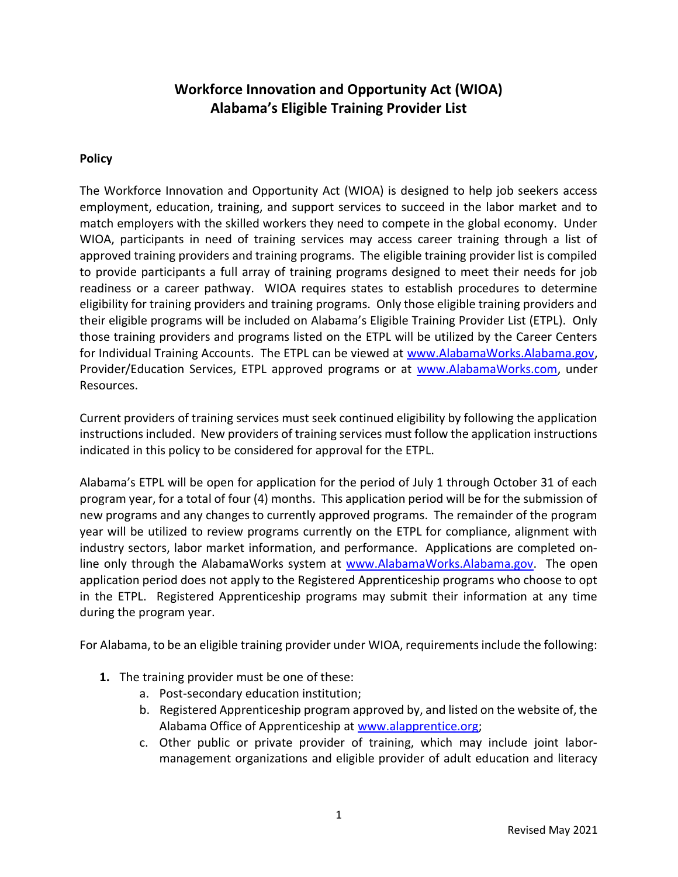# Workforce Innovation and Opportunity Act (WIOA) Alabama's Eligible Training Provider List

## Policy

The Workforce Innovation and Opportunity Act (WIOA) is designed to help job seekers access employment, education, training, and support services to succeed in the labor market and to match employers with the skilled workers they need to compete in the global economy. Under WIOA, participants in need of training services may access career training through a list of approved training providers and training programs. The eligible training provider list is compiled to provide participants a full array of training programs designed to meet their needs for job readiness or a career pathway. WIOA requires states to establish procedures to determine eligibility for training providers and training programs. Only those eligible training providers and their eligible programs will be included on Alabama's Eligible Training Provider List (ETPL). Only those training providers and programs listed on the ETPL will be utilized by the Career Centers for Individual Training Accounts. The ETPL can be viewed at www.AlabamaWorks.Alabama.gov, Provider/Education Services, ETPL approved programs or at www.AlabamaWorks.com, under Resources.

Current providers of training services must seek continued eligibility by following the application instructions included. New providers of training services must follow the application instructions indicated in this policy to be considered for approval for the ETPL.

Alabama's ETPL will be open for application for the period of July 1 through October 31 of each program year, for a total of four (4) months. This application period will be for the submission of new programs and any changes to currently approved programs. The remainder of the program year will be utilized to review programs currently on the ETPL for compliance, alignment with industry sectors, labor market information, and performance. Applications are completed online only through the AlabamaWorks system at www.AlabamaWorks.Alabama.gov. The open application period does not apply to the Registered Apprenticeship programs who choose to opt in the ETPL. Registered Apprenticeship programs may submit their information at any time during the program year.

For Alabama, to be an eligible training provider under WIOA, requirements include the following:

- 1. The training provider must be one of these:
	- a. Post-secondary education institution;
	- b. Registered Apprenticeship program approved by, and listed on the website of, the Alabama Office of Apprenticeship at www.alapprentice.org;
	- c. Other public or private provider of training, which may include joint labormanagement organizations and eligible provider of adult education and literacy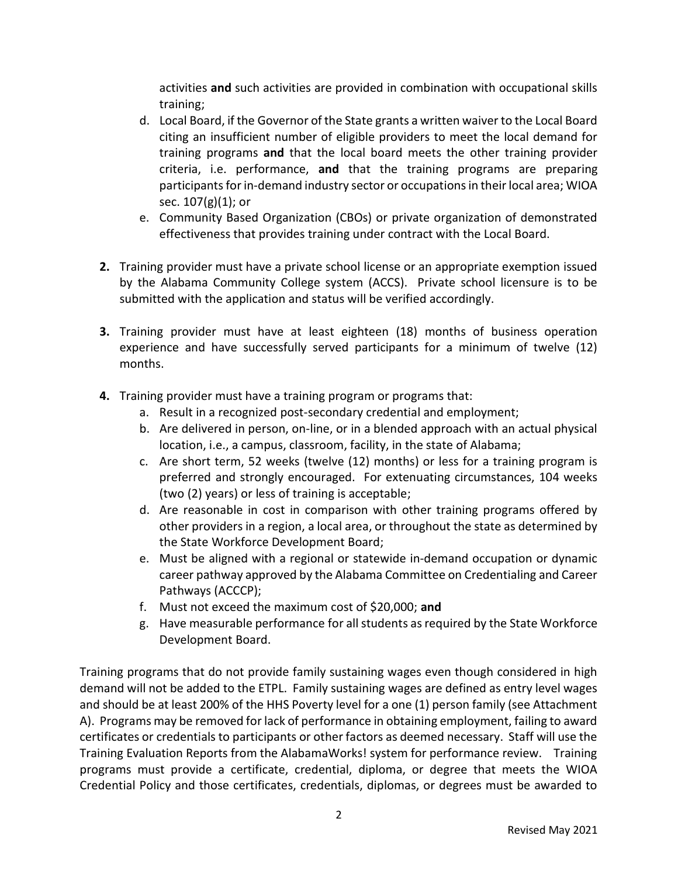activities and such activities are provided in combination with occupational skills training;

- d. Local Board, if the Governor of the State grants a written waiver to the Local Board citing an insufficient number of eligible providers to meet the local demand for training programs and that the local board meets the other training provider criteria, i.e. performance, and that the training programs are preparing participants for in-demand industry sector or occupations in their local area; WIOA sec. 107(g)(1); or
- e. Community Based Organization (CBOs) or private organization of demonstrated effectiveness that provides training under contract with the Local Board.
- 2. Training provider must have a private school license or an appropriate exemption issued by the Alabama Community College system (ACCS). Private school licensure is to be submitted with the application and status will be verified accordingly.
- 3. Training provider must have at least eighteen (18) months of business operation experience and have successfully served participants for a minimum of twelve (12) months.
- 4. Training provider must have a training program or programs that:
	- a. Result in a recognized post-secondary credential and employment;
	- b. Are delivered in person, on-line, or in a blended approach with an actual physical location, i.e., a campus, classroom, facility, in the state of Alabama;
	- c. Are short term, 52 weeks (twelve (12) months) or less for a training program is preferred and strongly encouraged. For extenuating circumstances, 104 weeks (two (2) years) or less of training is acceptable;
	- d. Are reasonable in cost in comparison with other training programs offered by other providers in a region, a local area, or throughout the state as determined by the State Workforce Development Board;
	- e. Must be aligned with a regional or statewide in-demand occupation or dynamic career pathway approved by the Alabama Committee on Credentialing and Career Pathways (ACCCP);
	- f. Must not exceed the maximum cost of \$20,000; and
	- g. Have measurable performance for all students as required by the State Workforce Development Board.

Training programs that do not provide family sustaining wages even though considered in high demand will not be added to the ETPL. Family sustaining wages are defined as entry level wages and should be at least 200% of the HHS Poverty level for a one (1) person family (see Attachment A). Programs may be removed for lack of performance in obtaining employment, failing to award certificates or credentials to participants or other factors as deemed necessary. Staff will use the Training Evaluation Reports from the AlabamaWorks! system for performance review. Training programs must provide a certificate, credential, diploma, or degree that meets the WIOA Credential Policy and those certificates, credentials, diplomas, or degrees must be awarded to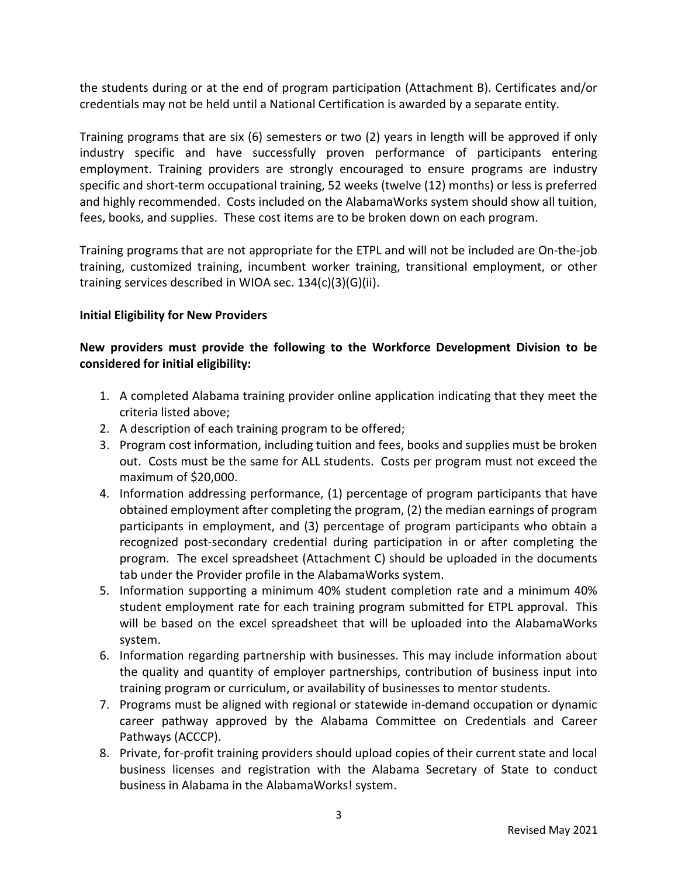the students during or at the end of program participation (Attachment B). Certificates and/or credentials may not be held until a National Certification is awarded by a separate entity.

Training programs that are six (6) semesters or two (2) years in length will be approved if only industry specific and have successfully proven performance of participants entering employment. Training providers are strongly encouraged to ensure programs are industry specific and short-term occupational training, 52 weeks (twelve (12) months) or less is preferred and highly recommended. Costs included on the AlabamaWorks system should show all tuition, fees, books, and supplies. These cost items are to be broken down on each program.

Training programs that are not appropriate for the ETPL and will not be included are On-the-job training, customized training, incumbent worker training, transitional employment, or other training services described in WIOA sec. 134(c)(3)(G)(ii).

## Initial Eligibility for New Providers

## New providers must provide the following to the Workforce Development Division to be considered for initial eligibility:

- 1. A completed Alabama training provider online application indicating that they meet the criteria listed above;
- 2. A description of each training program to be offered;
- 3. Program cost information, including tuition and fees, books and supplies must be broken out. Costs must be the same for ALL students. Costs per program must not exceed the maximum of \$20,000.
- 4. Information addressing performance, (1) percentage of program participants that have obtained employment after completing the program, (2) the median earnings of program participants in employment, and (3) percentage of program participants who obtain a recognized post-secondary credential during participation in or after completing the program. The excel spreadsheet (Attachment C) should be uploaded in the documents tab under the Provider profile in the AlabamaWorks system.
- 5. Information supporting a minimum 40% student completion rate and a minimum 40% student employment rate for each training program submitted for ETPL approval. This will be based on the excel spreadsheet that will be uploaded into the AlabamaWorks system.
- 6. Information regarding partnership with businesses. This may include information about the quality and quantity of employer partnerships, contribution of business input into training program or curriculum, or availability of businesses to mentor students.
- 7. Programs must be aligned with regional or statewide in-demand occupation or dynamic career pathway approved by the Alabama Committee on Credentials and Career Pathways (ACCCP).
- 8. Private, for-profit training providers should upload copies of their current state and local business licenses and registration with the Alabama Secretary of State to conduct business in Alabama in the AlabamaWorks! system.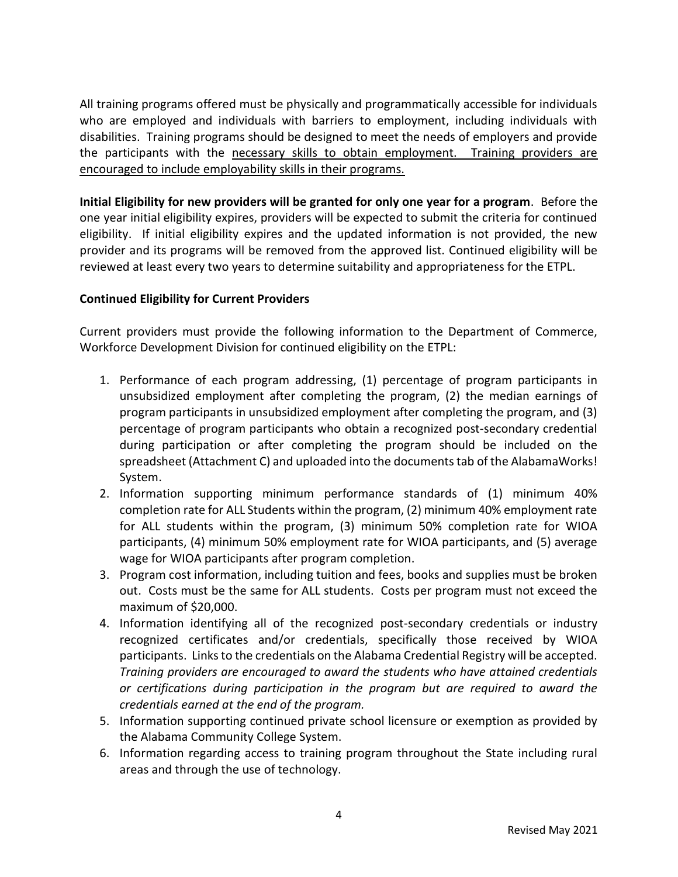All training programs offered must be physically and programmatically accessible for individuals who are employed and individuals with barriers to employment, including individuals with disabilities. Training programs should be designed to meet the needs of employers and provide the participants with the necessary skills to obtain employment. Training providers are encouraged to include employability skills in their programs.

Initial Eligibility for new providers will be granted for only one year for a program. Before the one year initial eligibility expires, providers will be expected to submit the criteria for continued eligibility. If initial eligibility expires and the updated information is not provided, the new provider and its programs will be removed from the approved list. Continued eligibility will be reviewed at least every two years to determine suitability and appropriateness for the ETPL.

## Continued Eligibility for Current Providers

Current providers must provide the following information to the Department of Commerce, Workforce Development Division for continued eligibility on the ETPL:

- 1. Performance of each program addressing, (1) percentage of program participants in unsubsidized employment after completing the program, (2) the median earnings of program participants in unsubsidized employment after completing the program, and (3) percentage of program participants who obtain a recognized post-secondary credential during participation or after completing the program should be included on the spreadsheet (Attachment C) and uploaded into the documents tab of the AlabamaWorks! System.
- 2. Information supporting minimum performance standards of (1) minimum 40% completion rate for ALL Students within the program, (2) minimum 40% employment rate for ALL students within the program, (3) minimum 50% completion rate for WIOA participants, (4) minimum 50% employment rate for WIOA participants, and (5) average wage for WIOA participants after program completion.
- 3. Program cost information, including tuition and fees, books and supplies must be broken out. Costs must be the same for ALL students. Costs per program must not exceed the maximum of \$20,000.
- 4. Information identifying all of the recognized post-secondary credentials or industry recognized certificates and/or credentials, specifically those received by WIOA participants. Links to the credentials on the Alabama Credential Registry will be accepted. Training providers are encouraged to award the students who have attained credentials or certifications during participation in the program but are required to award the credentials earned at the end of the program.
- 5. Information supporting continued private school licensure or exemption as provided by the Alabama Community College System.
- 6. Information regarding access to training program throughout the State including rural areas and through the use of technology.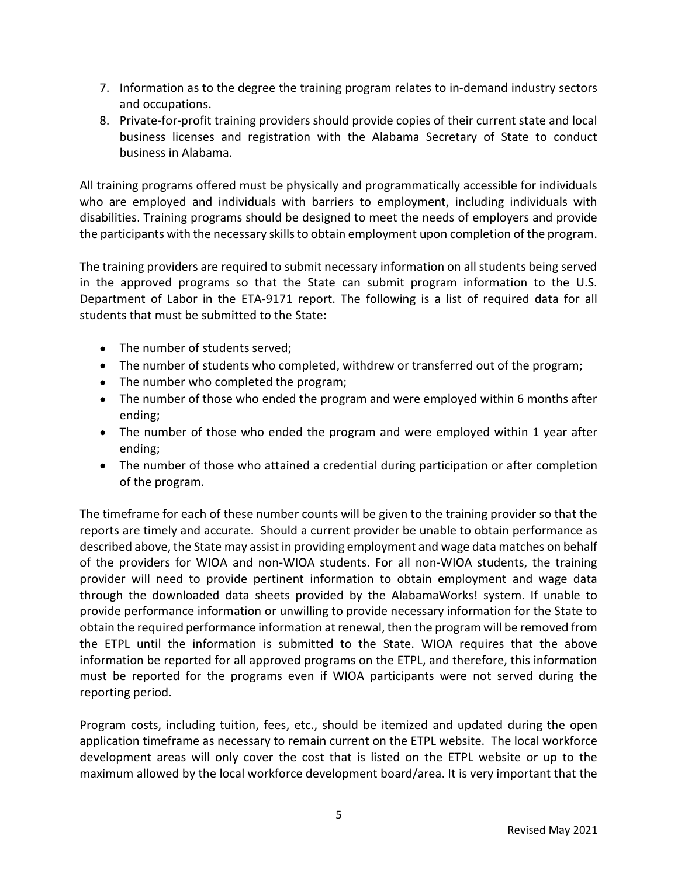- 7. Information as to the degree the training program relates to in-demand industry sectors and occupations.
- 8. Private-for-profit training providers should provide copies of their current state and local business licenses and registration with the Alabama Secretary of State to conduct business in Alabama.

All training programs offered must be physically and programmatically accessible for individuals who are employed and individuals with barriers to employment, including individuals with disabilities. Training programs should be designed to meet the needs of employers and provide the participants with the necessary skills to obtain employment upon completion of the program.

The training providers are required to submit necessary information on all students being served in the approved programs so that the State can submit program information to the U.S. Department of Labor in the ETA-9171 report. The following is a list of required data for all students that must be submitted to the State:

- The number of students served;
- The number of students who completed, withdrew or transferred out of the program;
- The number who completed the program;
- The number of those who ended the program and were employed within 6 months after ending;
- The number of those who ended the program and were employed within 1 year after ending;
- The number of those who attained a credential during participation or after completion of the program.

The timeframe for each of these number counts will be given to the training provider so that the reports are timely and accurate. Should a current provider be unable to obtain performance as described above, the State may assist in providing employment and wage data matches on behalf of the providers for WIOA and non-WIOA students. For all non-WIOA students, the training provider will need to provide pertinent information to obtain employment and wage data through the downloaded data sheets provided by the AlabamaWorks! system. If unable to provide performance information or unwilling to provide necessary information for the State to obtain the required performance information at renewal, then the program will be removed from the ETPL until the information is submitted to the State. WIOA requires that the above information be reported for all approved programs on the ETPL, and therefore, this information must be reported for the programs even if WIOA participants were not served during the reporting period.

Program costs, including tuition, fees, etc., should be itemized and updated during the open application timeframe as necessary to remain current on the ETPL website. The local workforce development areas will only cover the cost that is listed on the ETPL website or up to the maximum allowed by the local workforce development board/area. It is very important that the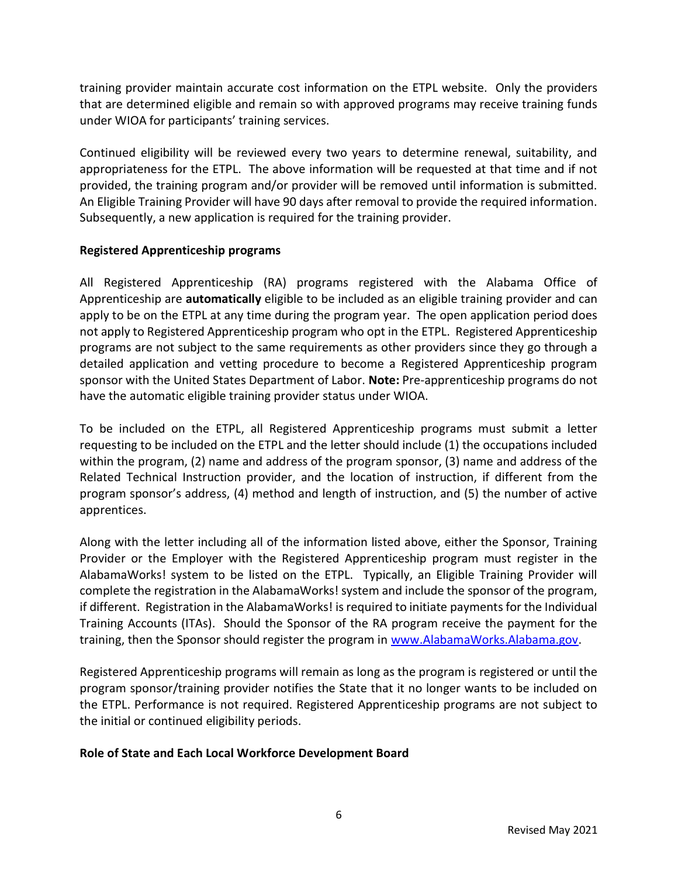training provider maintain accurate cost information on the ETPL website. Only the providers that are determined eligible and remain so with approved programs may receive training funds under WIOA for participants' training services.

Continued eligibility will be reviewed every two years to determine renewal, suitability, and appropriateness for the ETPL. The above information will be requested at that time and if not provided, the training program and/or provider will be removed until information is submitted. An Eligible Training Provider will have 90 days after removal to provide the required information. Subsequently, a new application is required for the training provider.

## Registered Apprenticeship programs

All Registered Apprenticeship (RA) programs registered with the Alabama Office of Apprenticeship are **automatically** eligible to be included as an eligible training provider and can apply to be on the ETPL at any time during the program year. The open application period does not apply to Registered Apprenticeship program who opt in the ETPL. Registered Apprenticeship programs are not subject to the same requirements as other providers since they go through a detailed application and vetting procedure to become a Registered Apprenticeship program sponsor with the United States Department of Labor. Note: Pre-apprenticeship programs do not have the automatic eligible training provider status under WIOA.

To be included on the ETPL, all Registered Apprenticeship programs must submit a letter requesting to be included on the ETPL and the letter should include (1) the occupations included within the program, (2) name and address of the program sponsor, (3) name and address of the Related Technical Instruction provider, and the location of instruction, if different from the program sponsor's address, (4) method and length of instruction, and (5) the number of active apprentices.

Along with the letter including all of the information listed above, either the Sponsor, Training Provider or the Employer with the Registered Apprenticeship program must register in the AlabamaWorks! system to be listed on the ETPL. Typically, an Eligible Training Provider will complete the registration in the AlabamaWorks! system and include the sponsor of the program, if different. Registration in the AlabamaWorks! is required to initiate payments for the Individual Training Accounts (ITAs). Should the Sponsor of the RA program receive the payment for the training, then the Sponsor should register the program in www.AlabamaWorks.Alabama.gov.

Registered Apprenticeship programs will remain as long as the program is registered or until the program sponsor/training provider notifies the State that it no longer wants to be included on the ETPL. Performance is not required. Registered Apprenticeship programs are not subject to the initial or continued eligibility periods.

# Role of State and Each Local Workforce Development Board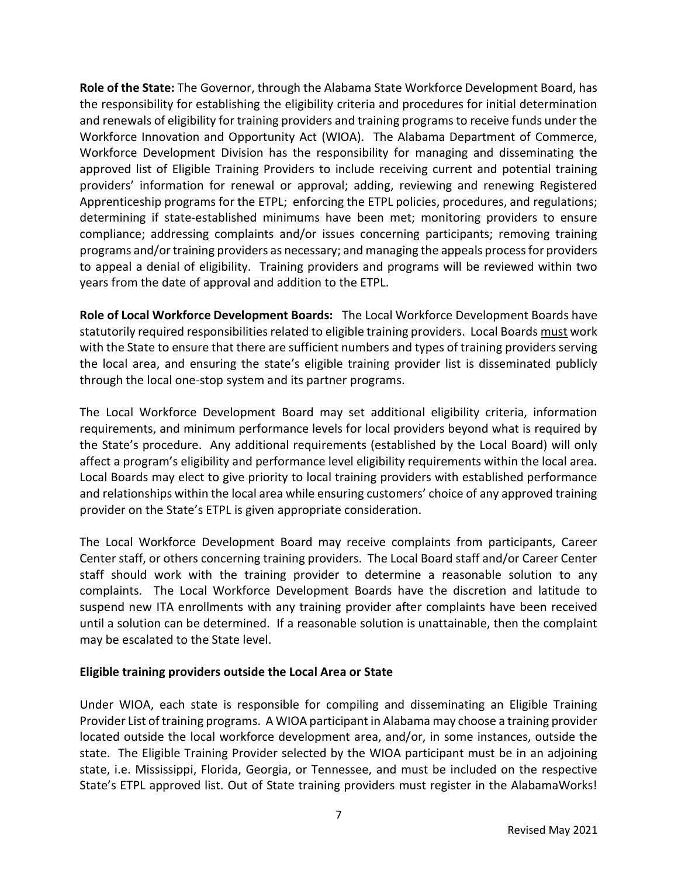Role of the State: The Governor, through the Alabama State Workforce Development Board, has the responsibility for establishing the eligibility criteria and procedures for initial determination and renewals of eligibility for training providers and training programs to receive funds under the Workforce Innovation and Opportunity Act (WIOA). The Alabama Department of Commerce, Workforce Development Division has the responsibility for managing and disseminating the approved list of Eligible Training Providers to include receiving current and potential training providers' information for renewal or approval; adding, reviewing and renewing Registered Apprenticeship programs for the ETPL; enforcing the ETPL policies, procedures, and regulations; determining if state-established minimums have been met; monitoring providers to ensure compliance; addressing complaints and/or issues concerning participants; removing training programs and/or training providers as necessary; and managing the appeals process for providers to appeal a denial of eligibility. Training providers and programs will be reviewed within two years from the date of approval and addition to the ETPL.

Role of Local Workforce Development Boards: The Local Workforce Development Boards have statutorily required responsibilities related to eligible training providers. Local Boards must work with the State to ensure that there are sufficient numbers and types of training providers serving the local area, and ensuring the state's eligible training provider list is disseminated publicly through the local one-stop system and its partner programs.

The Local Workforce Development Board may set additional eligibility criteria, information requirements, and minimum performance levels for local providers beyond what is required by the State's procedure. Any additional requirements (established by the Local Board) will only affect a program's eligibility and performance level eligibility requirements within the local area. Local Boards may elect to give priority to local training providers with established performance and relationships within the local area while ensuring customers' choice of any approved training provider on the State's ETPL is given appropriate consideration.

The Local Workforce Development Board may receive complaints from participants, Career Center staff, or others concerning training providers. The Local Board staff and/or Career Center staff should work with the training provider to determine a reasonable solution to any complaints. The Local Workforce Development Boards have the discretion and latitude to suspend new ITA enrollments with any training provider after complaints have been received until a solution can be determined. If a reasonable solution is unattainable, then the complaint may be escalated to the State level.

### Eligible training providers outside the Local Area or State

Under WIOA, each state is responsible for compiling and disseminating an Eligible Training Provider List of training programs. A WIOA participant in Alabama may choose a training provider located outside the local workforce development area, and/or, in some instances, outside the state. The Eligible Training Provider selected by the WIOA participant must be in an adjoining state, i.e. Mississippi, Florida, Georgia, or Tennessee, and must be included on the respective State's ETPL approved list. Out of State training providers must register in the AlabamaWorks!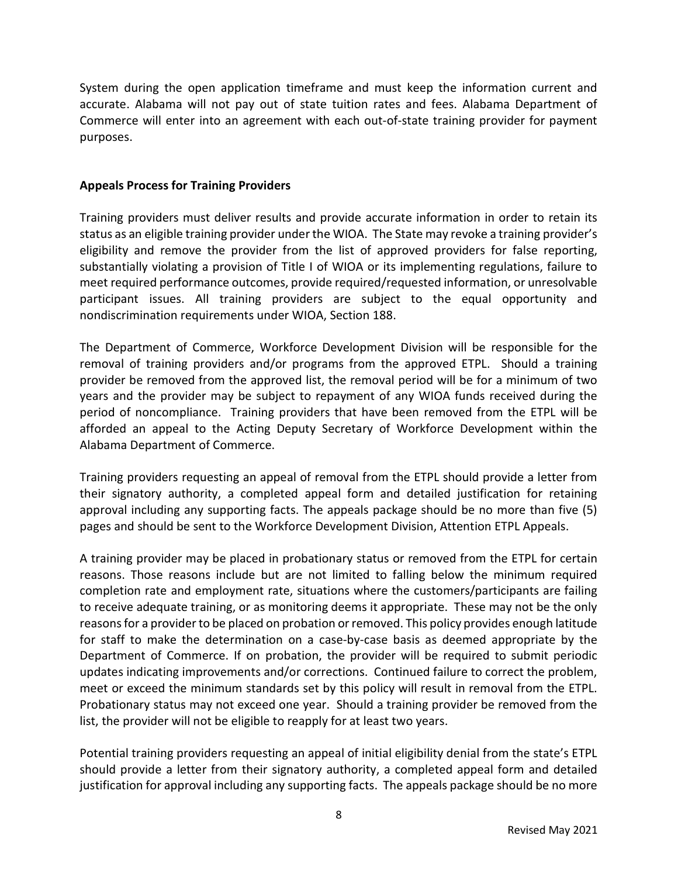System during the open application timeframe and must keep the information current and accurate. Alabama will not pay out of state tuition rates and fees. Alabama Department of Commerce will enter into an agreement with each out-of-state training provider for payment purposes.

### Appeals Process for Training Providers

Training providers must deliver results and provide accurate information in order to retain its status as an eligible training provider under the WIOA. The State may revoke a training provider's eligibility and remove the provider from the list of approved providers for false reporting, substantially violating a provision of Title I of WIOA or its implementing regulations, failure to meet required performance outcomes, provide required/requested information, or unresolvable participant issues. All training providers are subject to the equal opportunity and nondiscrimination requirements under WIOA, Section 188.

The Department of Commerce, Workforce Development Division will be responsible for the removal of training providers and/or programs from the approved ETPL. Should a training provider be removed from the approved list, the removal period will be for a minimum of two years and the provider may be subject to repayment of any WIOA funds received during the period of noncompliance. Training providers that have been removed from the ETPL will be afforded an appeal to the Acting Deputy Secretary of Workforce Development within the Alabama Department of Commerce.

Training providers requesting an appeal of removal from the ETPL should provide a letter from their signatory authority, a completed appeal form and detailed justification for retaining approval including any supporting facts. The appeals package should be no more than five (5) pages and should be sent to the Workforce Development Division, Attention ETPL Appeals.

A training provider may be placed in probationary status or removed from the ETPL for certain reasons. Those reasons include but are not limited to falling below the minimum required completion rate and employment rate, situations where the customers/participants are failing to receive adequate training, or as monitoring deems it appropriate. These may not be the only reasons for a provider to be placed on probation or removed. This policy provides enough latitude for staff to make the determination on a case-by-case basis as deemed appropriate by the Department of Commerce. If on probation, the provider will be required to submit periodic updates indicating improvements and/or corrections. Continued failure to correct the problem, meet or exceed the minimum standards set by this policy will result in removal from the ETPL. Probationary status may not exceed one year. Should a training provider be removed from the list, the provider will not be eligible to reapply for at least two years.

Potential training providers requesting an appeal of initial eligibility denial from the state's ETPL should provide a letter from their signatory authority, a completed appeal form and detailed justification for approval including any supporting facts. The appeals package should be no more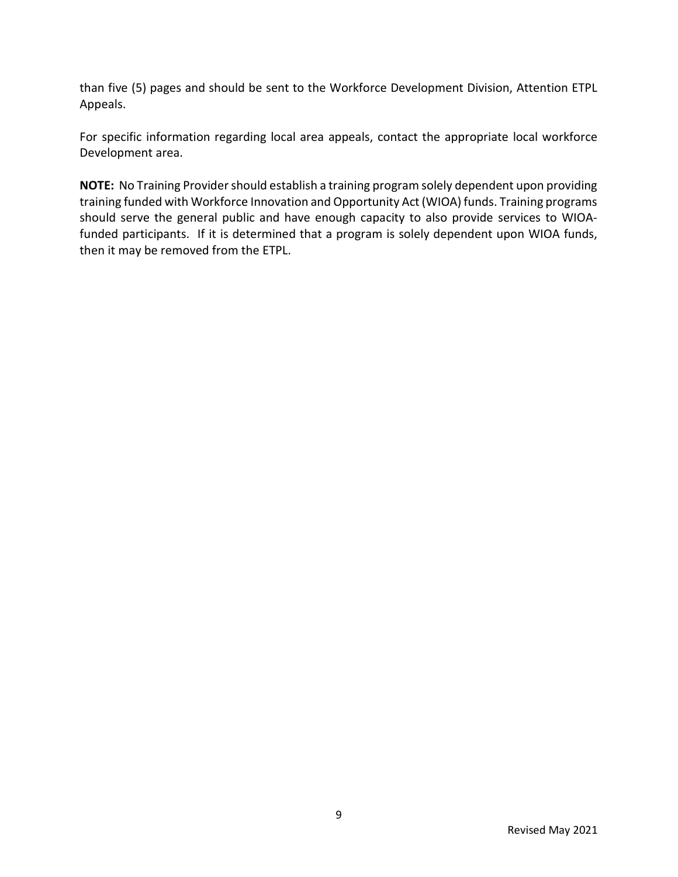than five (5) pages and should be sent to the Workforce Development Division, Attention ETPL Appeals.

For specific information regarding local area appeals, contact the appropriate local workforce Development area.

NOTE: No Training Provider should establish a training program solely dependent upon providing training funded with Workforce Innovation and Opportunity Act (WIOA) funds. Training programs should serve the general public and have enough capacity to also provide services to WIOAfunded participants. If it is determined that a program is solely dependent upon WIOA funds, then it may be removed from the ETPL.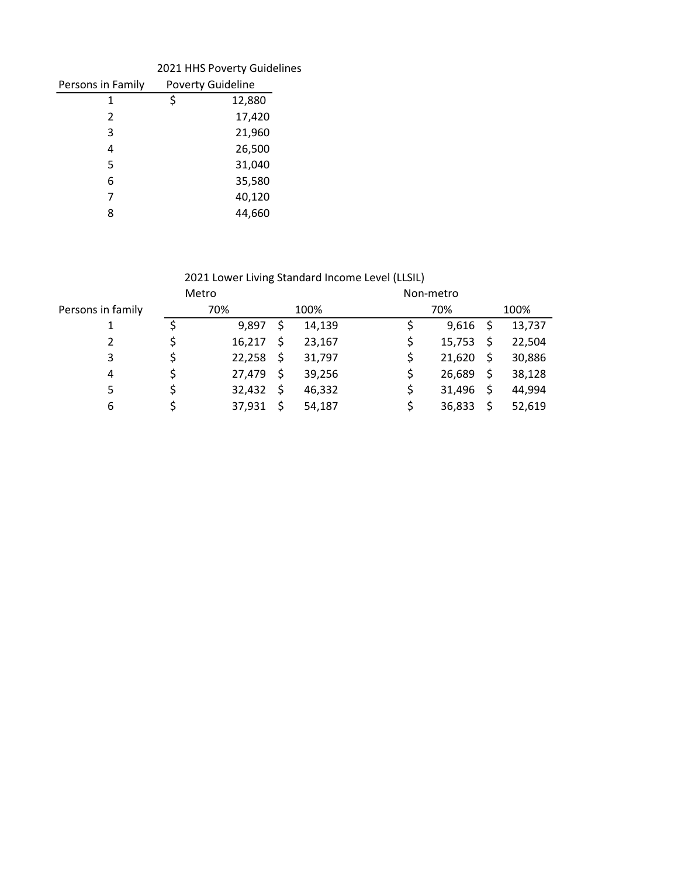|                   | 2021 HHS Poverty Guidelines |
|-------------------|-----------------------------|
| Persons in Family | <b>Poverty Guideline</b>    |
| 1                 | \$<br>12,880                |
| $\mathcal{P}$     | 17,420                      |
| 3                 | 21,960                      |
| 4                 | 26,500                      |
| 5                 | 31,040                      |
| 6                 | 35,580                      |
| 7                 | 40,120                      |
| 8                 | 44.660                      |

# 2021 Lower Living Standard Income Level (LLSIL)

|                   | Metro  |              | Non-metro |      |        |
|-------------------|--------|--------------|-----------|------|--------|
| Persons in family | 70%    | 100%         | 70%       |      | 100%   |
|                   | 9,897  | \$<br>14,139 | 9,616     | - \$ | 13,737 |
| 2                 | 16,217 | \$<br>23,167 | 15,753    |      | 22,504 |
| 3                 | 22,258 | \$<br>31,797 | 21,620    | S    | 30,886 |
| 4                 | 27,479 | \$<br>39,256 | 26,689    | \$   | 38,128 |
| 5                 | 32,432 | \$<br>46,332 | 31,496    | Ś    | 44,994 |
| 6                 | 37,931 | \$<br>54,187 | 36,833    | \$   | 52,619 |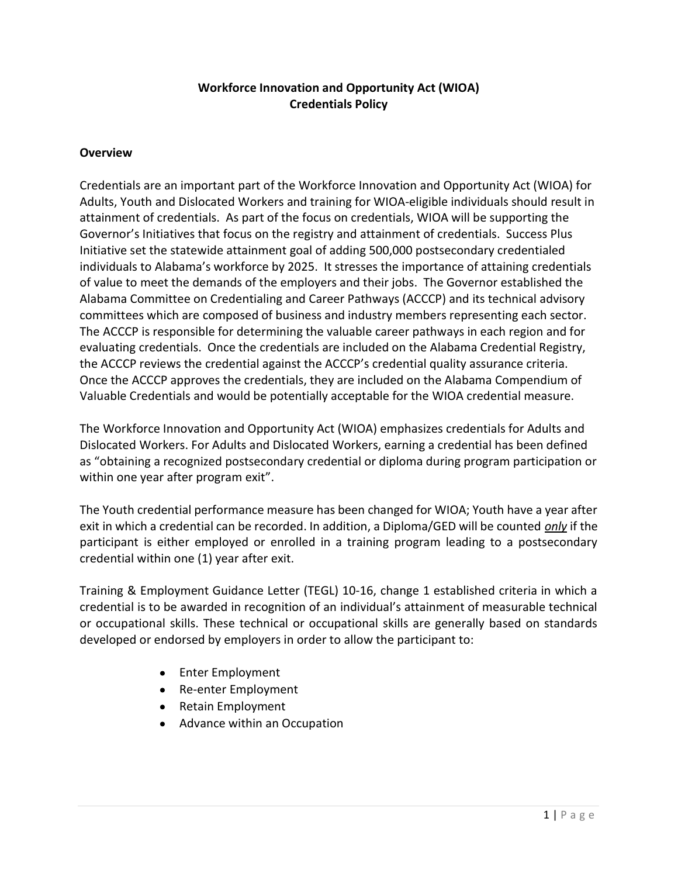# Workforce Innovation and Opportunity Act (WIOA) Credentials Policy

### **Overview**

Credentials are an important part of the Workforce Innovation and Opportunity Act (WIOA) for Adults, Youth and Dislocated Workers and training for WIOA-eligible individuals should result in attainment of credentials. As part of the focus on credentials, WIOA will be supporting the Governor's Initiatives that focus on the registry and attainment of credentials. Success Plus Initiative set the statewide attainment goal of adding 500,000 postsecondary credentialed individuals to Alabama's workforce by 2025. It stresses the importance of attaining credentials of value to meet the demands of the employers and their jobs. The Governor established the Alabama Committee on Credentialing and Career Pathways (ACCCP) and its technical advisory committees which are composed of business and industry members representing each sector. The ACCCP is responsible for determining the valuable career pathways in each region and for evaluating credentials. Once the credentials are included on the Alabama Credential Registry, the ACCCP reviews the credential against the ACCCP's credential quality assurance criteria. Once the ACCCP approves the credentials, they are included on the Alabama Compendium of Valuable Credentials and would be potentially acceptable for the WIOA credential measure.

The Workforce Innovation and Opportunity Act (WIOA) emphasizes credentials for Adults and Dislocated Workers. For Adults and Dislocated Workers, earning a credential has been defined as "obtaining a recognized postsecondary credential or diploma during program participation or within one year after program exit".

The Youth credential performance measure has been changed for WIOA; Youth have a year after exit in which a credential can be recorded. In addition, a Diploma/GED will be counted only if the participant is either employed or enrolled in a training program leading to a postsecondary credential within one (1) year after exit.

Training & Employment Guidance Letter (TEGL) 10-16, change 1 established criteria in which a credential is to be awarded in recognition of an individual's attainment of measurable technical or occupational skills. These technical or occupational skills are generally based on standards developed or endorsed by employers in order to allow the participant to:

- Enter Employment
- Re-enter Employment
- Retain Employment
- Advance within an Occupation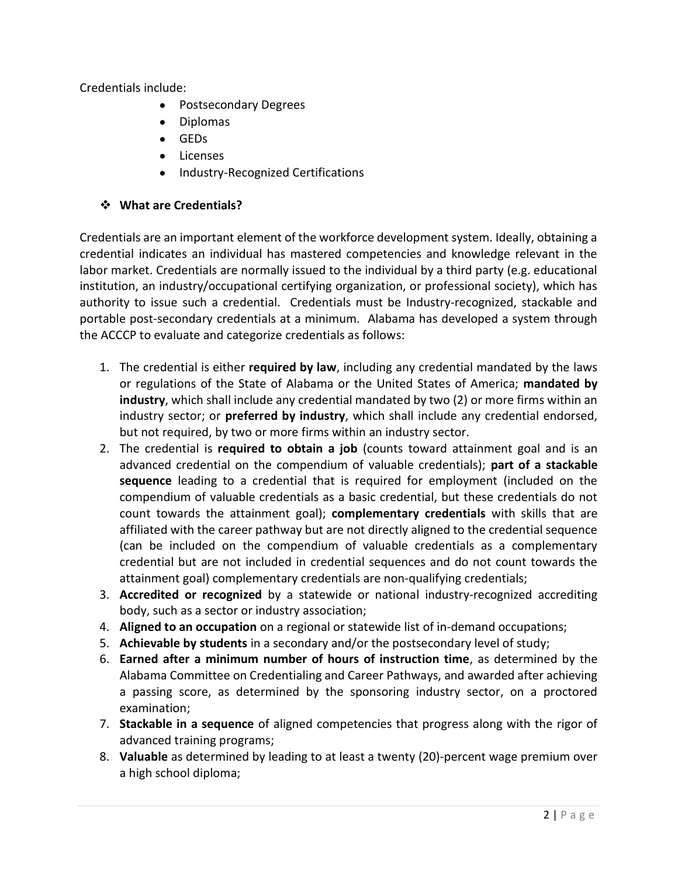Credentials include:

- Postsecondary Degrees
- Diplomas
- GEDs
- **•** Licenses
- Industry-Recognized Certifications  $\bullet$

# ❖ What are Credentials?

Credentials are an important element of the workforce development system. Ideally, obtaining a credential indicates an individual has mastered competencies and knowledge relevant in the labor market. Credentials are normally issued to the individual by a third party (e.g. educational institution, an industry/occupational certifying organization, or professional society), which has authority to issue such a credential. Credentials must be Industry-recognized, stackable and portable post-secondary credentials at a minimum. Alabama has developed a system through the ACCCP to evaluate and categorize credentials as follows:

- 1. The credential is either required by law, including any credential mandated by the laws or regulations of the State of Alabama or the United States of America; mandated by industry, which shall include any credential mandated by two (2) or more firms within an industry sector; or **preferred by industry**, which shall include any credential endorsed, but not required, by two or more firms within an industry sector.
- 2. The credential is required to obtain a job (counts toward attainment goal and is an advanced credential on the compendium of valuable credentials); part of a stackable sequence leading to a credential that is required for employment (included on the compendium of valuable credentials as a basic credential, but these credentials do not count towards the attainment goal); complementary credentials with skills that are affiliated with the career pathway but are not directly aligned to the credential sequence (can be included on the compendium of valuable credentials as a complementary credential but are not included in credential sequences and do not count towards the attainment goal) complementary credentials are non-qualifying credentials;
- 3. Accredited or recognized by a statewide or national industry-recognized accrediting body, such as a sector or industry association;
- 4. Aligned to an occupation on a regional or statewide list of in-demand occupations;
- 5. Achievable by students in a secondary and/or the postsecondary level of study;
- 6. Earned after a minimum number of hours of instruction time, as determined by the Alabama Committee on Credentialing and Career Pathways, and awarded after achieving a passing score, as determined by the sponsoring industry sector, on a proctored examination;
- 7. Stackable in a sequence of aligned competencies that progress along with the rigor of advanced training programs;
- 8. Valuable as determined by leading to at least a twenty (20)-percent wage premium over a high school diploma;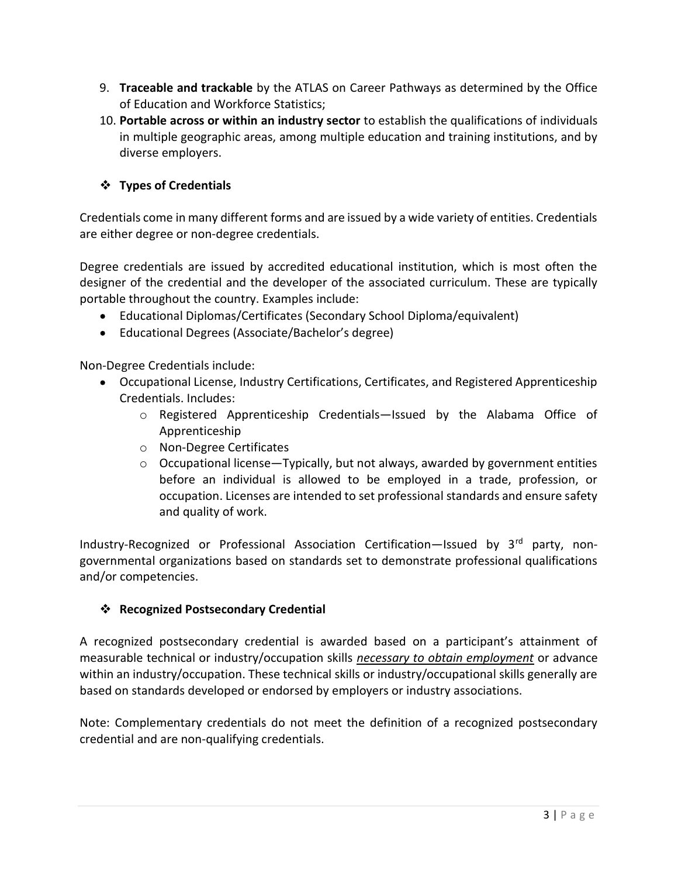- 9. Traceable and trackable by the ATLAS on Career Pathways as determined by the Office of Education and Workforce Statistics;
- 10. Portable across or within an industry sector to establish the qualifications of individuals in multiple geographic areas, among multiple education and training institutions, and by diverse employers.

# Types of Credentials

Credentials come in many different forms and are issued by a wide variety of entities. Credentials are either degree or non-degree credentials.

Degree credentials are issued by accredited educational institution, which is most often the designer of the credential and the developer of the associated curriculum. These are typically portable throughout the country. Examples include:

- Educational Diplomas/Certificates (Secondary School Diploma/equivalent)
- Educational Degrees (Associate/Bachelor's degree)

Non-Degree Credentials include:

- Occupational License, Industry Certifications, Certificates, and Registered Apprenticeship Credentials. Includes:
	- o Registered Apprenticeship Credentials—Issued by the Alabama Office of Apprenticeship
	- o Non-Degree Certificates
	- $\circ$  Occupational license—Typically, but not always, awarded by government entities before an individual is allowed to be employed in a trade, profession, or occupation. Licenses are intended to set professional standards and ensure safety and quality of work.

Industry-Recognized or Professional Association Certification—Issued by  $3<sup>rd</sup>$  party, nongovernmental organizations based on standards set to demonstrate professional qualifications and/or competencies.

# ❖ Recognized Postsecondary Credential

A recognized postsecondary credential is awarded based on a participant's attainment of measurable technical or industry/occupation skills necessary to obtain employment or advance within an industry/occupation. These technical skills or industry/occupational skills generally are based on standards developed or endorsed by employers or industry associations.

Note: Complementary credentials do not meet the definition of a recognized postsecondary credential and are non-qualifying credentials.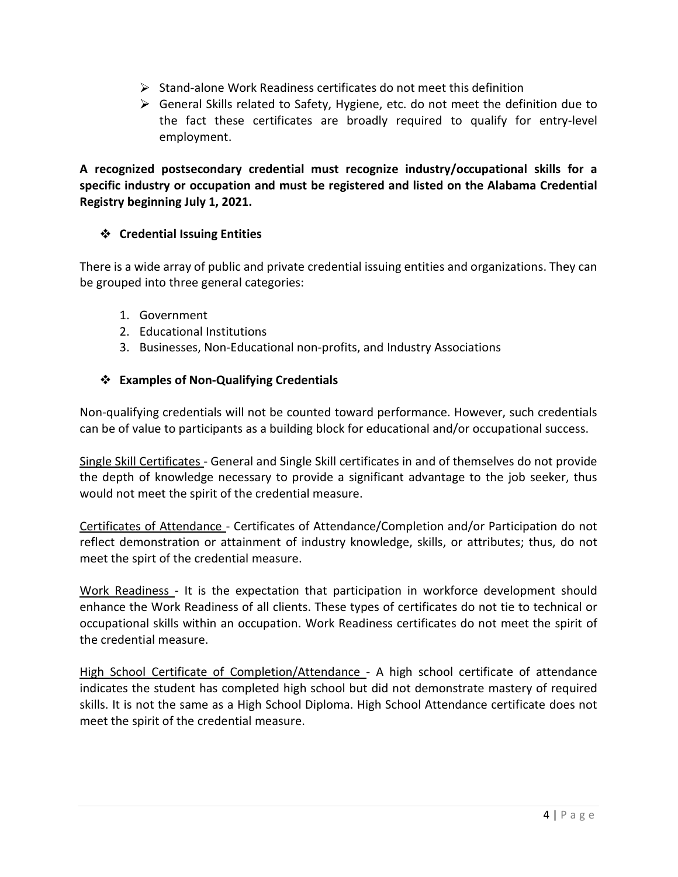- $\triangleright$  Stand-alone Work Readiness certificates do not meet this definition
- $\triangleright$  General Skills related to Safety, Hygiene, etc. do not meet the definition due to the fact these certificates are broadly required to qualify for entry-level employment.

A recognized postsecondary credential must recognize industry/occupational skills for a specific industry or occupation and must be registered and listed on the Alabama Credential Registry beginning July 1, 2021.

# Credential Issuing Entities

There is a wide array of public and private credential issuing entities and organizations. They can be grouped into three general categories:

- 1. Government
- 2. Educational Institutions
- 3. Businesses, Non-Educational non-profits, and Industry Associations

# ❖ Examples of Non-Qualifying Credentials

Non-qualifying credentials will not be counted toward performance. However, such credentials can be of value to participants as a building block for educational and/or occupational success.

Single Skill Certificates - General and Single Skill certificates in and of themselves do not provide the depth of knowledge necessary to provide a significant advantage to the job seeker, thus would not meet the spirit of the credential measure.

Certificates of Attendance - Certificates of Attendance/Completion and/or Participation do not reflect demonstration or attainment of industry knowledge, skills, or attributes; thus, do not meet the spirt of the credential measure.

Work Readiness - It is the expectation that participation in workforce development should enhance the Work Readiness of all clients. These types of certificates do not tie to technical or occupational skills within an occupation. Work Readiness certificates do not meet the spirit of the credential measure.

High School Certificate of Completion/Attendance - A high school certificate of attendance indicates the student has completed high school but did not demonstrate mastery of required skills. It is not the same as a High School Diploma. High School Attendance certificate does not meet the spirit of the credential measure.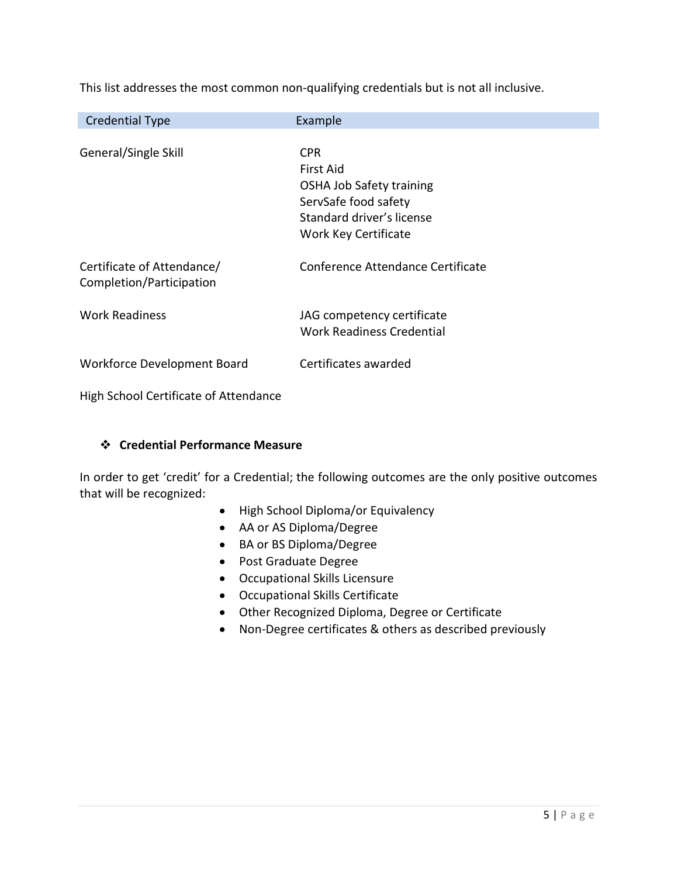| <b>Credential Type</b>      | Example                           |
|-----------------------------|-----------------------------------|
|                             |                                   |
| General/Single Skill        | CPR.                              |
|                             | First Aid                         |
|                             | <b>OSHA Job Safety training</b>   |
|                             | ServSafe food safety              |
|                             | Standard driver's license         |
|                             | Work Key Certificate              |
|                             |                                   |
| Certificate of Attendance/  | Conference Attendance Certificate |
| Completion/Participation    |                                   |
|                             |                                   |
| <b>Work Readiness</b>       | JAG competency certificate        |
|                             | Work Readiness Credential         |
|                             |                                   |
| Workforce Development Board | Certificates awarded              |
|                             |                                   |

This list addresses the most common non-qualifying credentials but is not all inclusive.

High School Certificate of Attendance

# Credential Performance Measure

In order to get 'credit' for a Credential; the following outcomes are the only positive outcomes that will be recognized:

- High School Diploma/or Equivalency
- AA or AS Diploma/Degree
- BA or BS Diploma/Degree
- Post Graduate Degree
- Occupational Skills Licensure
- Occupational Skills Certificate
- Other Recognized Diploma, Degree or Certificate
- Non-Degree certificates & others as described previously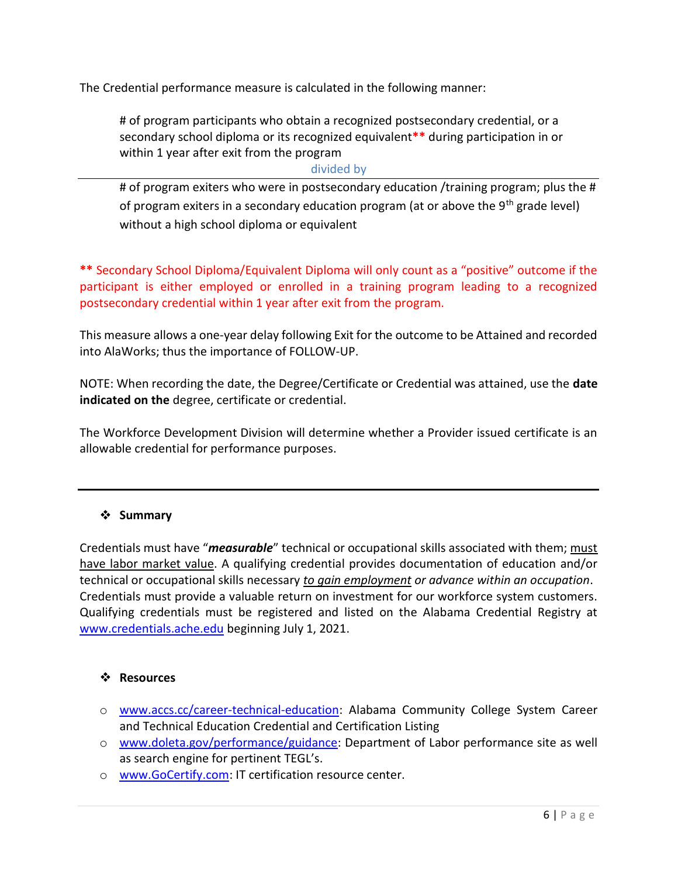The Credential performance measure is calculated in the following manner:

# of program participants who obtain a recognized postsecondary credential, or a secondary school diploma or its recognized equivalent\*\* during participation in or within 1 year after exit from the program

### divided by

# of program exiters who were in postsecondary education /training program; plus the # of program exiters in a secondary education program (at or above the  $9<sup>th</sup>$  grade level) without a high school diploma or equivalent

\*\* Secondary School Diploma/Equivalent Diploma will only count as a "positive" outcome if the participant is either employed or enrolled in a training program leading to a recognized postsecondary credential within 1 year after exit from the program.

This measure allows a one-year delay following Exit for the outcome to be Attained and recorded into AlaWorks; thus the importance of FOLLOW-UP.

NOTE: When recording the date, the Degree/Certificate or Credential was attained, use the date indicated on the degree, certificate or credential.

The Workforce Development Division will determine whether a Provider issued certificate is an allowable credential for performance purposes.

# ❖ Summary

Credentials must have "measurable" technical or occupational skills associated with them; must have labor market value. A qualifying credential provides documentation of education and/or technical or occupational skills necessary to gain employment or advance within an occupation. Credentials must provide a valuable return on investment for our workforce system customers. Qualifying credentials must be registered and listed on the Alabama Credential Registry at www.credentials.ache.edu beginning July 1, 2021.

### Resources

- o www.accs.cc/career-technical-education: Alabama Community College System Career and Technical Education Credential and Certification Listing
- o www.doleta.gov/performance/guidance: Department of Labor performance site as well as search engine for pertinent TEGL's.
- o www.GoCertify.com: IT certification resource center.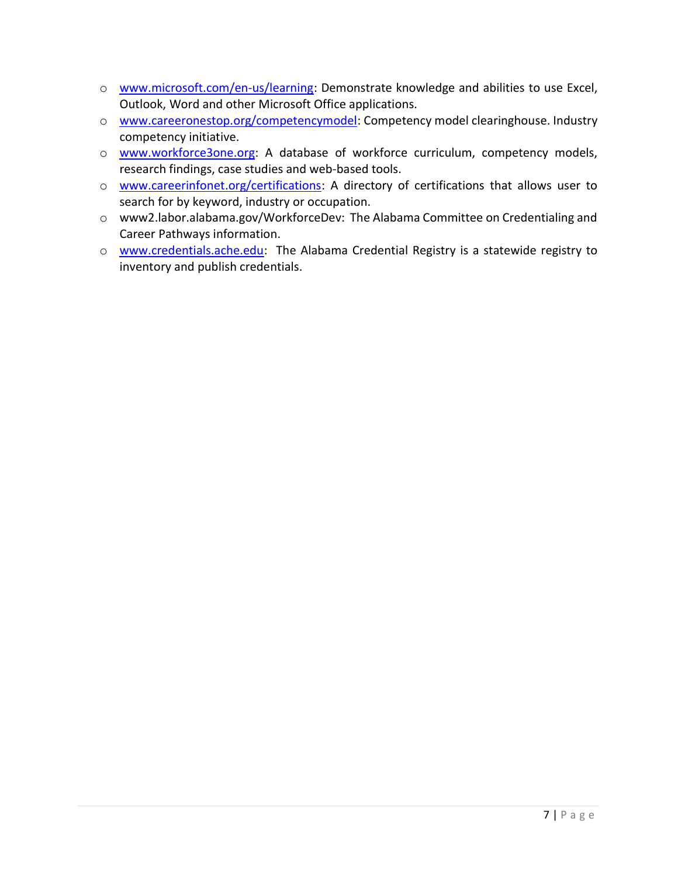- o www.microsoft.com/en-us/learning: Demonstrate knowledge and abilities to use Excel, Outlook, Word and other Microsoft Office applications.
- o www.careeronestop.org/competencymodel: Competency model clearinghouse. Industry competency initiative.
- o www.workforce3one.org: A database of workforce curriculum, competency models, research findings, case studies and web-based tools.
- o www.careerinfonet.org/certifications: A directory of certifications that allows user to search for by keyword, industry or occupation.
- o www2.labor.alabama.gov/WorkforceDev: The Alabama Committee on Credentialing and Career Pathways information.
- o www.credentials.ache.edu: The Alabama Credential Registry is a statewide registry to inventory and publish credentials.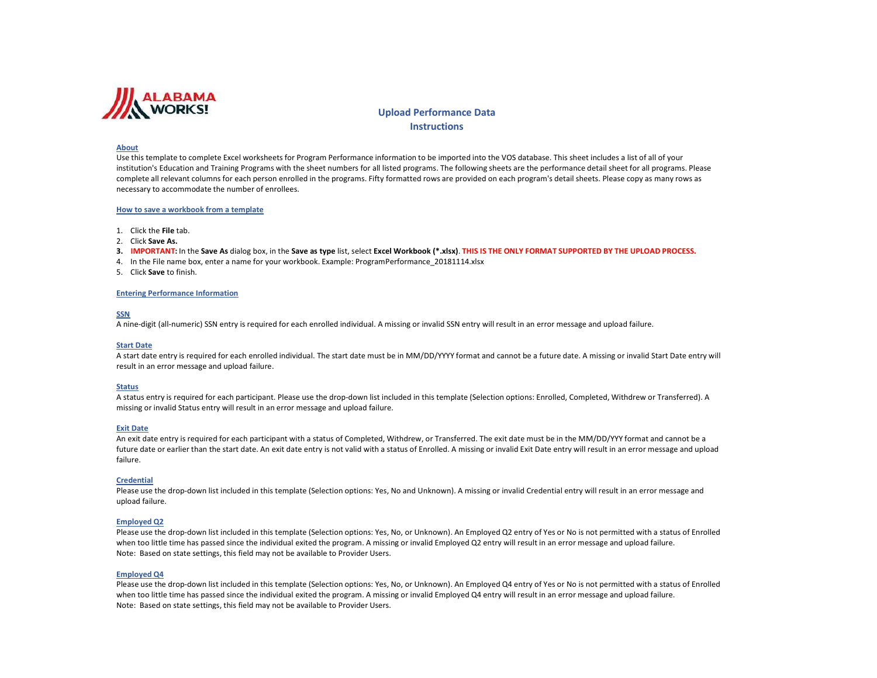

# **Instructions**

Upload Performance Data<br>Instructions<br>nformation to be imported into th<br>I listed programs. The following st<br>y formatted rows are provided or<br>xcel Workbook (\*.xlsx). THIS IS Th<br>mPerformance\_20181114.xlsx Abact tensory is complete for leastbank to frequen formance including to conserve the higher than the format method is a conserved to the method in the method in the method in the method in the method in the property of th

- 
- 
- 
- 
- 

A nine-digit (all-numeric) SSN entry is required for each enrolled individual. A missing or invalid SSN entry will result in an error message and upload failure.<br>Start Date<br>A start date entry is required for each enrolled

An exit date entriy is required for each participans with a status of Completed, Wikhlew, or Transferred. The exit date entry will result in an error message and granout be a<br>trainer date or earlier than the start date. An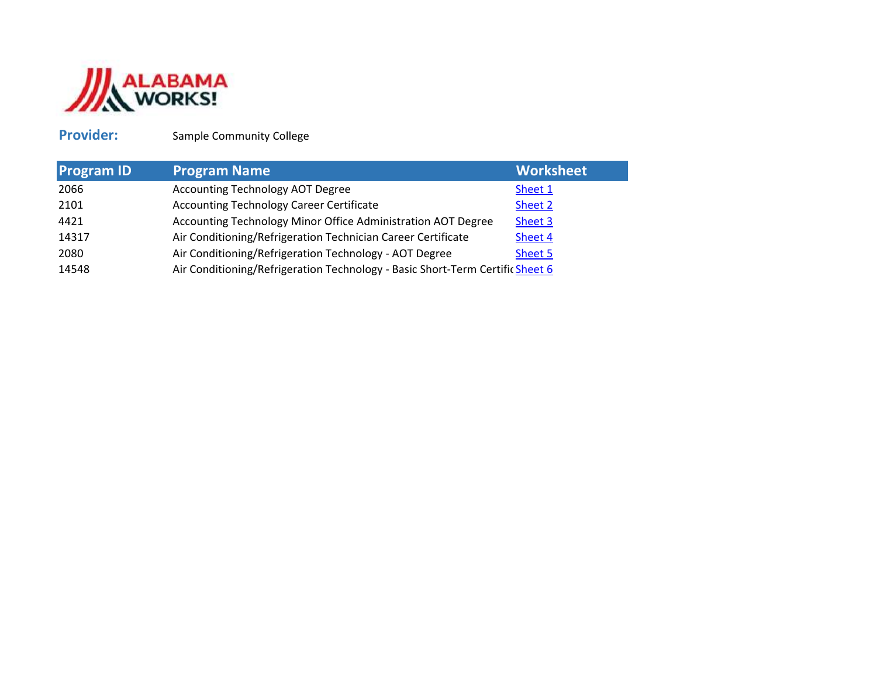

# Provider:

| <b>Provider:</b>  | Sample Community College                                                      |                  |
|-------------------|-------------------------------------------------------------------------------|------------------|
| <b>Program ID</b> | <b>Program Name</b>                                                           | <b>Worksheet</b> |
| 2066              | Accounting Technology AOT Degree                                              | Sheet 1          |
| 2101              | <b>Accounting Technology Career Certificate</b>                               | Sheet 2          |
| 4421              | Accounting Technology Minor Office Administration AOT Degree                  | Sheet 3          |
| 14317             | Air Conditioning/Refrigeration Technician Career Certificate                  | Sheet 4          |
| 2080              | Air Conditioning/Refrigeration Technology - AOT Degree                        | Sheet 5          |
| 14548             | Air Conditioning/Refrigeration Technology - Basic Short-Term Certific Sheet 6 |                  |
|                   |                                                                               |                  |
|                   |                                                                               |                  |
|                   |                                                                               |                  |
|                   |                                                                               |                  |
|                   |                                                                               |                  |
|                   |                                                                               |                  |
|                   |                                                                               |                  |
|                   |                                                                               |                  |
|                   |                                                                               |                  |
|                   |                                                                               |                  |
|                   |                                                                               |                  |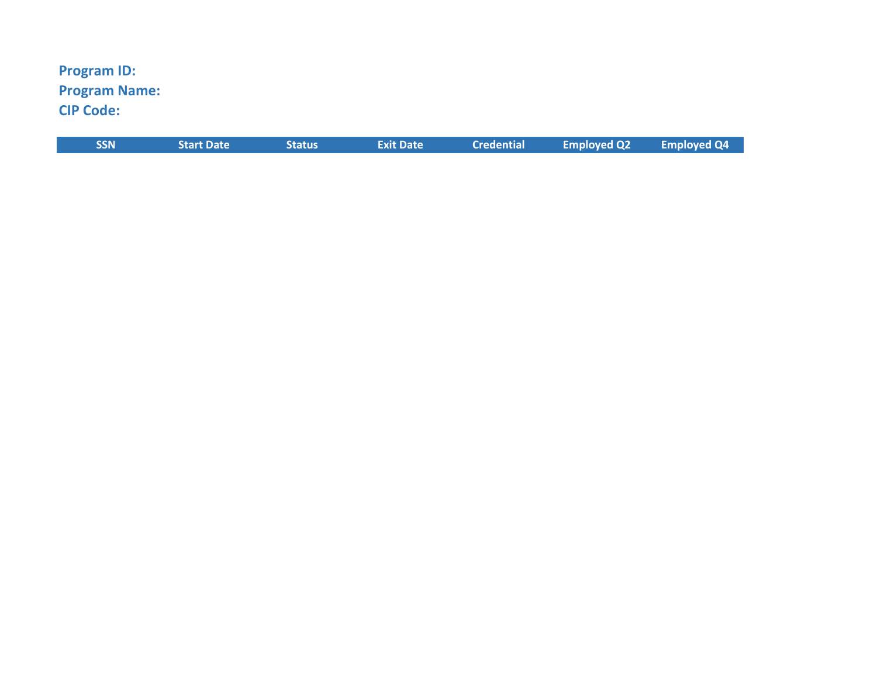# Program ID: Program Name:CIP Code:

| <b>SSN</b> | <b>Start Date</b> | <b>Status</b> | <b>Exit Date</b> | <b>Credential</b> | <b>Employed Q2</b> | <b>Employed Q4</b> |
|------------|-------------------|---------------|------------------|-------------------|--------------------|--------------------|
|            |                   |               |                  |                   |                    |                    |
|            |                   |               |                  |                   |                    |                    |
|            |                   |               |                  |                   |                    |                    |
|            |                   |               |                  |                   |                    |                    |
|            |                   |               |                  |                   |                    |                    |
|            |                   |               |                  |                   |                    |                    |
|            |                   |               |                  |                   |                    |                    |
|            |                   |               |                  |                   |                    |                    |
|            |                   |               |                  |                   |                    |                    |
|            |                   |               |                  |                   |                    |                    |
|            |                   |               |                  |                   |                    |                    |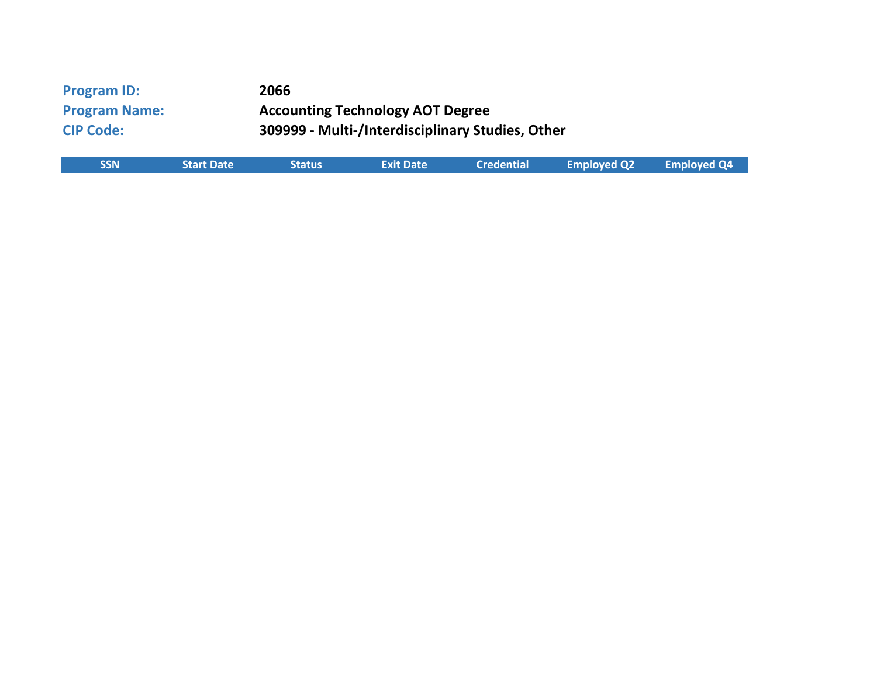| <b>Program ID:</b><br><b>Program Name:</b><br><b>CIP Code:</b> |                   | 2066          | <b>Accounting Technology AOT Degree</b><br>309999 - Multi-/Interdisciplinary Studies, Other |                   |   |
|----------------------------------------------------------------|-------------------|---------------|---------------------------------------------------------------------------------------------|-------------------|---|
| <b>SSN</b>                                                     | <b>Start Date</b> | <b>Status</b> | <b>Exit Date</b>                                                                            | <b>Credential</b> | F |
|                                                                |                   |               |                                                                                             |                   |   |
|                                                                |                   |               |                                                                                             |                   |   |
|                                                                |                   |               |                                                                                             |                   |   |
|                                                                |                   |               |                                                                                             |                   |   |
|                                                                |                   |               |                                                                                             |                   |   |
|                                                                |                   |               |                                                                                             |                   |   |

| <b>SSN</b> | <b>Start Date</b> | <b>Status</b> | <b>Exit Date</b> | <b>Credential</b> | <b>Employed Q2</b> | <b>Employed Q4</b> |
|------------|-------------------|---------------|------------------|-------------------|--------------------|--------------------|
|            |                   |               |                  |                   |                    |                    |
|            |                   |               |                  |                   |                    |                    |
|            |                   |               |                  |                   |                    |                    |
|            |                   |               |                  |                   |                    |                    |
|            |                   |               |                  |                   |                    |                    |
|            |                   |               |                  |                   |                    |                    |
|            |                   |               |                  |                   |                    |                    |
|            |                   |               |                  |                   |                    |                    |
|            |                   |               |                  |                   |                    |                    |
|            |                   |               |                  |                   |                    |                    |
|            |                   |               |                  |                   |                    |                    |
|            |                   |               |                  |                   |                    |                    |
|            |                   |               |                  |                   |                    |                    |
|            |                   |               |                  |                   |                    |                    |
|            |                   |               |                  |                   |                    |                    |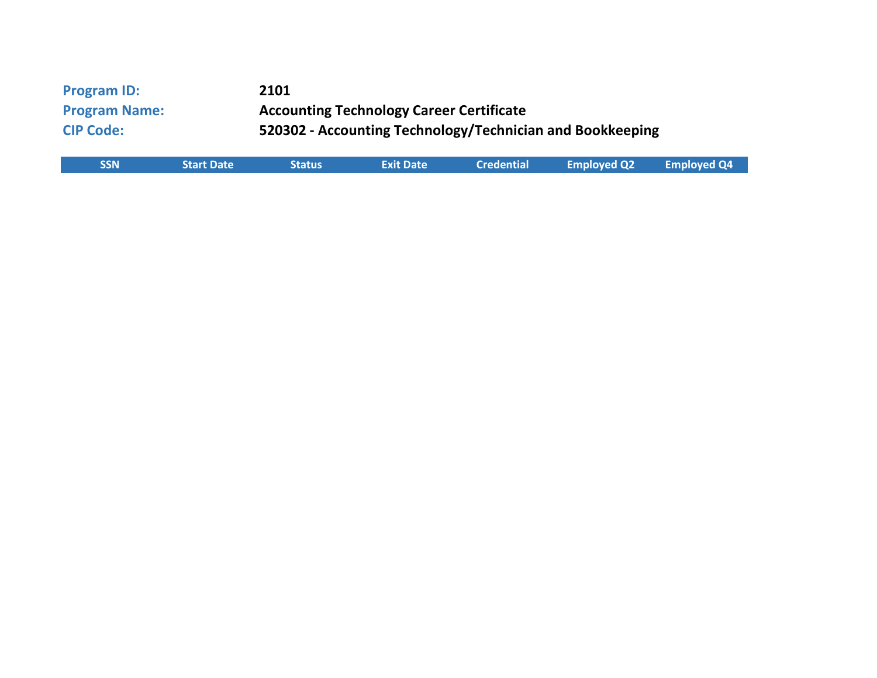| <b>Program ID:</b><br><b>Program Name:</b><br><b>CIP Code:</b> |                   | 2101          | <b>Accounting Technology Career Certificate</b> |                   | 520302 - Accounting Technology/Technician and Bookkeeping |    |
|----------------------------------------------------------------|-------------------|---------------|-------------------------------------------------|-------------------|-----------------------------------------------------------|----|
| <b>SSN</b>                                                     | <b>Start Date</b> | <b>Status</b> | <b>Exit Date</b>                                | <b>Credential</b> | <b>Employed Q2</b>                                        | Em |
|                                                                |                   |               |                                                 |                   |                                                           |    |
|                                                                |                   |               |                                                 |                   |                                                           |    |
|                                                                |                   |               |                                                 |                   |                                                           |    |
|                                                                |                   |               |                                                 |                   |                                                           |    |
|                                                                |                   |               |                                                 |                   |                                                           |    |
|                                                                |                   |               |                                                 |                   |                                                           |    |

| <b>SSN</b> | <b>Start Date</b> | <b>Status</b> | <b>Exit Date</b> | <b>Credential</b> | <b>Employed Q2</b> | <b>Employed Q4</b> |
|------------|-------------------|---------------|------------------|-------------------|--------------------|--------------------|
|            |                   |               |                  |                   |                    |                    |
|            |                   |               |                  |                   |                    |                    |
|            |                   |               |                  |                   |                    |                    |
|            |                   |               |                  |                   |                    |                    |
|            |                   |               |                  |                   |                    |                    |
|            |                   |               |                  |                   |                    |                    |
|            |                   |               |                  |                   |                    |                    |
|            |                   |               |                  |                   |                    |                    |
|            |                   |               |                  |                   |                    |                    |
|            |                   |               |                  |                   |                    |                    |
|            |                   |               |                  |                   |                    |                    |
|            |                   |               |                  |                   |                    |                    |
|            |                   |               |                  |                   |                    |                    |
|            |                   |               |                  |                   |                    |                    |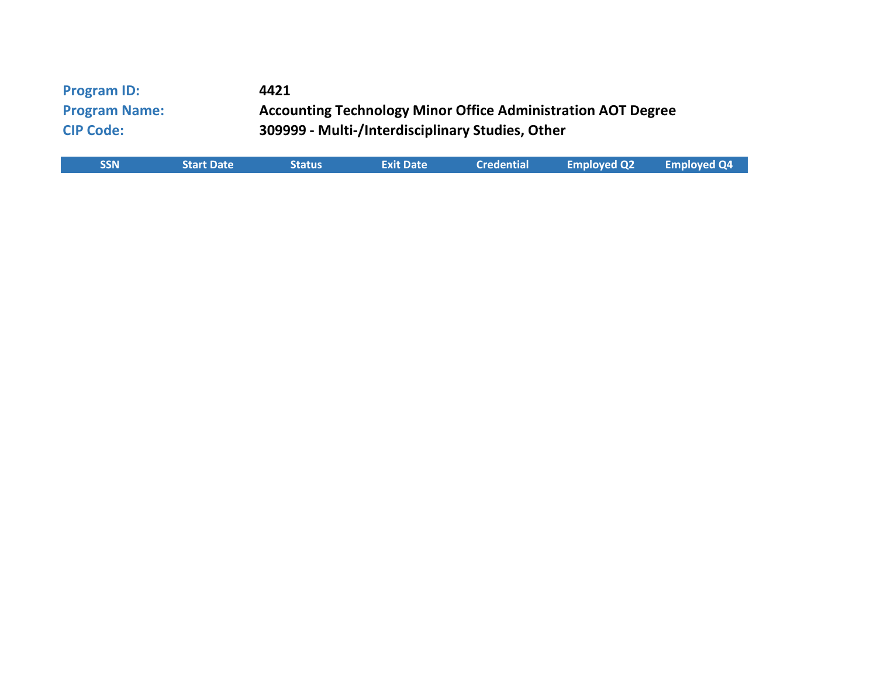| <b>Program ID:</b><br><b>Program Name:</b><br><b>CIP Code:</b> |                   | 4421          | 309999 - Multi-/Interdisciplinary Studies, Other |                   | <b>Accounting Technology Minor Office Administration AOT Degree</b> |            |
|----------------------------------------------------------------|-------------------|---------------|--------------------------------------------------|-------------------|---------------------------------------------------------------------|------------|
| <b>SSN</b>                                                     | <b>Start Date</b> | <b>Status</b> | <b>Exit Date</b>                                 | <b>Credential</b> | <b>Employed Q2</b>                                                  | <b>Emp</b> |
|                                                                |                   |               |                                                  |                   |                                                                     |            |
|                                                                |                   |               |                                                  |                   |                                                                     |            |
|                                                                |                   |               |                                                  |                   |                                                                     |            |
|                                                                |                   |               |                                                  |                   |                                                                     |            |
|                                                                |                   |               |                                                  |                   |                                                                     |            |

| <b>SSN</b> | <b>Start Date</b> | <b>Status</b> | <b>Exit Date</b> | <b>Credential</b> | <b>Employed Q2</b> | <b>Employed Q4</b> |
|------------|-------------------|---------------|------------------|-------------------|--------------------|--------------------|
|            |                   |               |                  |                   |                    |                    |
|            |                   |               |                  |                   |                    |                    |
|            |                   |               |                  |                   |                    |                    |
|            |                   |               |                  |                   |                    |                    |
|            |                   |               |                  |                   |                    |                    |
|            |                   |               |                  |                   |                    |                    |
|            |                   |               |                  |                   |                    |                    |
|            |                   |               |                  |                   |                    |                    |
|            |                   |               |                  |                   |                    |                    |
|            |                   |               |                  |                   |                    |                    |
|            |                   |               |                  |                   |                    |                    |
|            |                   |               |                  |                   |                    |                    |
|            |                   |               |                  |                   |                    |                    |
|            |                   |               |                  |                   |                    |                    |
|            |                   |               |                  |                   |                    |                    |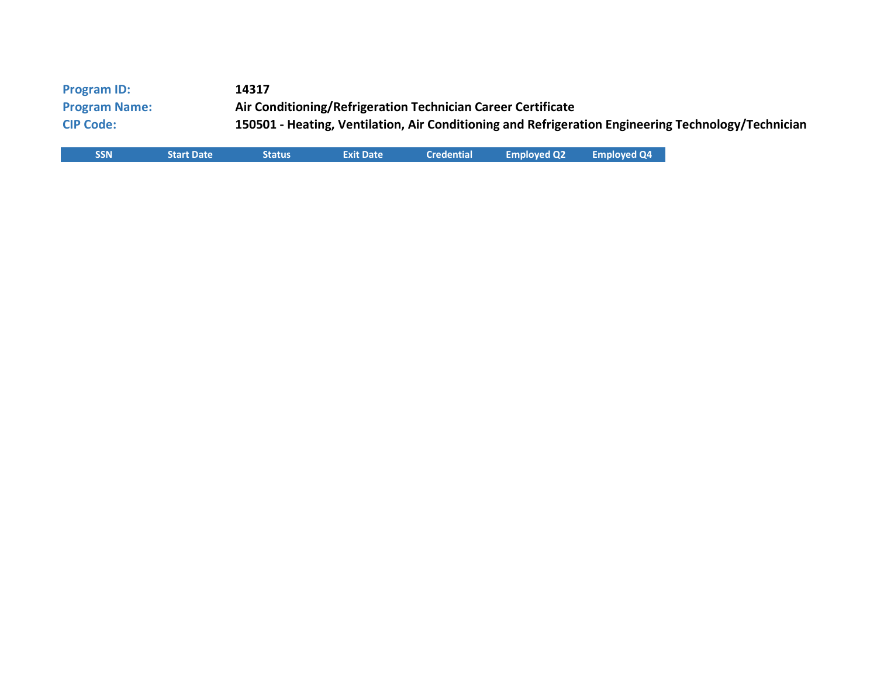| <b>Program ID:</b>   |                   | 14317         |                  |                   |                                                              |                    |                                                                                                     |
|----------------------|-------------------|---------------|------------------|-------------------|--------------------------------------------------------------|--------------------|-----------------------------------------------------------------------------------------------------|
| <b>Program Name:</b> |                   |               |                  |                   | Air Conditioning/Refrigeration Technician Career Certificate |                    |                                                                                                     |
| <b>CIP Code:</b>     |                   |               |                  |                   |                                                              |                    | 150501 - Heating, Ventilation, Air Conditioning and Refrigeration Engineering Technology/Technician |
| <b>SSN</b>           | <b>Start Date</b> | <b>Status</b> | <b>Exit Date</b> | <b>Credential</b> | <b>Employed Q2</b>                                           | <b>Employed Q4</b> |                                                                                                     |
|                      |                   |               |                  |                   |                                                              |                    |                                                                                                     |
|                      |                   |               |                  |                   |                                                              |                    |                                                                                                     |
|                      |                   |               |                  |                   |                                                              |                    |                                                                                                     |
|                      |                   |               |                  |                   |                                                              |                    |                                                                                                     |
|                      |                   |               |                  |                   |                                                              |                    |                                                                                                     |
|                      |                   |               |                  |                   |                                                              |                    |                                                                                                     |
|                      |                   |               |                  |                   |                                                              |                    |                                                                                                     |
|                      |                   |               |                  |                   |                                                              |                    |                                                                                                     |

| <b>SSN</b> | <b>Start Date</b> | <b>Status</b> | <b>Exit Date</b> | <b>Credential</b> | <b>Employed Q2</b> | <b>Employed Q4</b> |
|------------|-------------------|---------------|------------------|-------------------|--------------------|--------------------|
|            |                   |               |                  |                   |                    |                    |
|            |                   |               |                  |                   |                    |                    |
|            |                   |               |                  |                   |                    |                    |
|            |                   |               |                  |                   |                    |                    |
|            |                   |               |                  |                   |                    |                    |
|            |                   |               |                  |                   |                    |                    |
|            |                   |               |                  |                   |                    |                    |
|            |                   |               |                  |                   |                    |                    |
|            |                   |               |                  |                   |                    |                    |
|            |                   |               |                  |                   |                    |                    |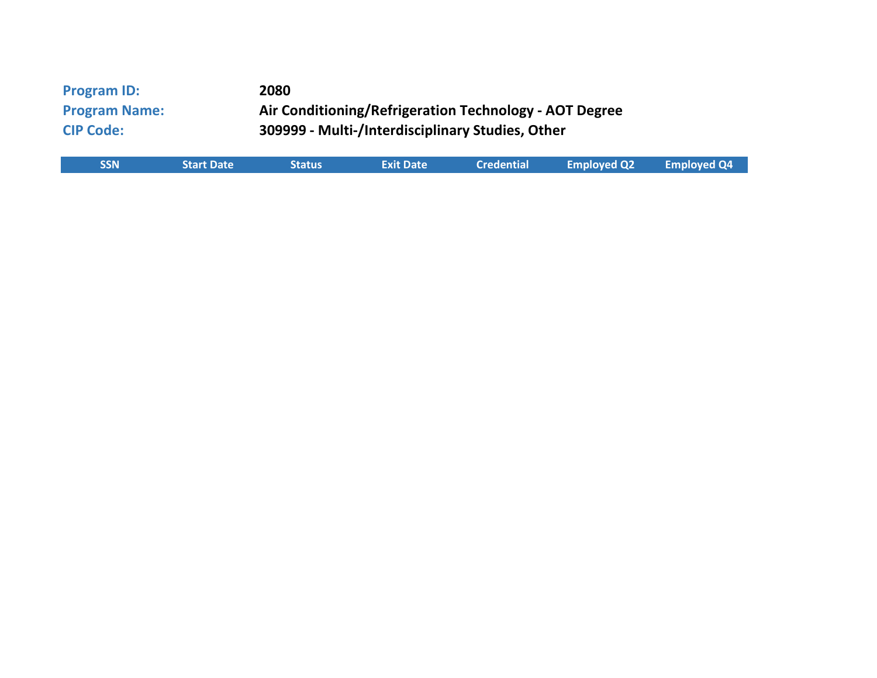| <b>Program ID:</b><br><b>Program Name:</b><br><b>CIP Code:</b> |                   | 2080<br>Air Conditioning/Refrigeration Technology - AOT Degree<br>309999 - Multi-/Interdisciplinary Studies, Other |                  |                   |                    |  |  |  |
|----------------------------------------------------------------|-------------------|--------------------------------------------------------------------------------------------------------------------|------------------|-------------------|--------------------|--|--|--|
| <b>SSN</b>                                                     | <b>Start Date</b> | <b>Status</b>                                                                                                      | <b>Exit Date</b> | <b>Credential</b> | <b>Employed Q2</b> |  |  |  |
|                                                                |                   |                                                                                                                    |                  |                   |                    |  |  |  |
|                                                                |                   |                                                                                                                    |                  |                   |                    |  |  |  |
|                                                                |                   |                                                                                                                    |                  |                   |                    |  |  |  |
|                                                                |                   |                                                                                                                    |                  |                   |                    |  |  |  |
|                                                                |                   |                                                                                                                    |                  |                   |                    |  |  |  |
|                                                                |                   |                                                                                                                    |                  |                   |                    |  |  |  |

| <b>SSN</b> | <b>Start Date</b> | <b>Status</b> | <b>Exit Date</b> | <b>Credential</b> | <b>Employed Q2</b> | <b>Employed Q4</b> |
|------------|-------------------|---------------|------------------|-------------------|--------------------|--------------------|
|            |                   |               |                  |                   |                    |                    |
|            |                   |               |                  |                   |                    |                    |
|            |                   |               |                  |                   |                    |                    |
|            |                   |               |                  |                   |                    |                    |
|            |                   |               |                  |                   |                    |                    |
|            |                   |               |                  |                   |                    |                    |
|            |                   |               |                  |                   |                    |                    |
|            |                   |               |                  |                   |                    |                    |
|            |                   |               |                  |                   |                    |                    |
|            |                   |               |                  |                   |                    |                    |
|            |                   |               |                  |                   |                    |                    |
|            |                   |               |                  |                   |                    |                    |
|            |                   |               |                  |                   |                    |                    |
|            |                   |               |                  |                   |                    |                    |
|            |                   |               |                  |                   |                    |                    |